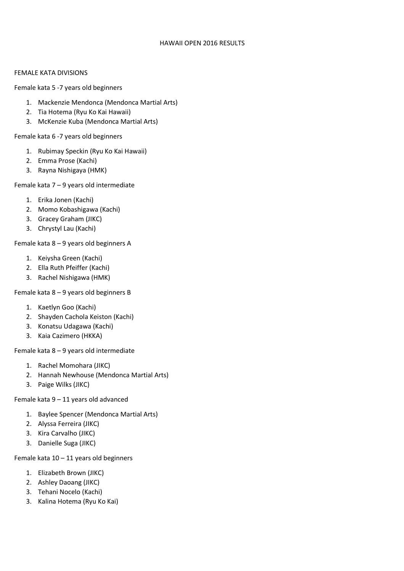### HAWAII OPEN 2016 RESULTS

### FEMALE KATA DIVISIONS

Female kata 5 -7 years old beginners

- 1. Mackenzie Mendonca (Mendonca Martial Arts)
- 2. Tia Hotema (Ryu Ko Kai Hawaii)
- 3. McKenzie Kuba (Mendonca Martial Arts)

Female kata 6 -7 years old beginners

- 1. Rubimay Speckin (Ryu Ko Kai Hawaii)
- 2. Emma Prose (Kachi)
- 3. Rayna Nishigaya (HMK)

Female kata 7 – 9 years old intermediate

- 1. Erika Jonen (Kachi)
- 2. Momo Kobashigawa (Kachi)
- 3. Gracey Graham (JIKC)
- 3. Chrystyl Lau (Kachi)

Female kata 8 – 9 years old beginners A

- 1. Keiysha Green (Kachi)
- 2. Ella Ruth Pfeiffer (Kachi)
- 3. Rachel Nishigawa (HMK)

Female kata 8 – 9 years old beginners B

- 1. Kaetlyn Goo (Kachi)
- 2. Shayden Cachola Keiston (Kachi)
- 3. Konatsu Udagawa (Kachi)
- 3. Kaia Cazimero (HKKA)

Female kata 8 – 9 years old intermediate

- 1. Rachel Momohara (JIKC)
- 2. Hannah Newhouse (Mendonca Martial Arts)
- 3. Paige Wilks (JIKC)

Female kata 9 – 11 years old advanced

- 1. Baylee Spencer (Mendonca Martial Arts)
- 2. Alyssa Ferreira (JIKC)
- 3. Kira Carvalho (JIKC)
- 3. Danielle Suga (JIKC)

Female kata  $10 - 11$  years old beginners

- 1. Elizabeth Brown (JIKC)
- 2. Ashley Daoang (JIKC)
- 3. Tehani Nocelo (Kachi)
- 3. Kalina Hotema (Ryu Ko Kai)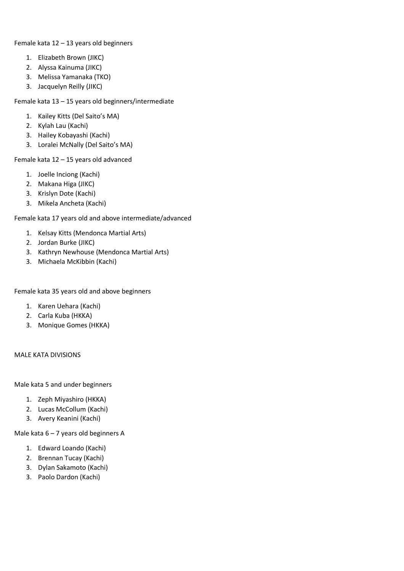Female kata 12 – 13 years old beginners

- 1. Elizabeth Brown (JIKC)
- 2. Alyssa Kainuma (JIKC)
- 3. Melissa Yamanaka (TKO)
- 3. Jacquelyn Reilly (JIKC)

Female kata 13 – 15 years old beginners/intermediate

- 1. Kailey Kitts (Del Saito's MA)
- 2. Kylah Lau (Kachi)
- 3. Hailey Kobayashi (Kachi)
- 3. Loralei McNally (Del Saito's MA)

Female kata 12 – 15 years old advanced

- 1. Joelle Inciong (Kachi)
- 2. Makana Higa (JIKC)
- 3. Krislyn Dote (Kachi)
- 3. Mikela Ancheta (Kachi)

Female kata 17 years old and above intermediate/advanced

- 1. Kelsay Kitts (Mendonca Martial Arts)
- 2. Jordan Burke (JIKC)
- 3. Kathryn Newhouse (Mendonca Martial Arts)
- 3. Michaela McKibbin (Kachi)

Female kata 35 years old and above beginners

- 1. Karen Uehara (Kachi)
- 2. Carla Kuba (HKKA)
- 3. Monique Gomes (HKKA)

### MALE KATA DIVISIONS

Male kata 5 and under beginners

- 1. Zeph Miyashiro (HKKA)
- 2. Lucas McCollum (Kachi)
- 3. Avery Keanini (Kachi)

Male kata 6 – 7 years old beginners A

- 1. Edward Loando (Kachi)
- 2. Brennan Tucay (Kachi)
- 3. Dylan Sakamoto (Kachi)
- 3. Paolo Dardon (Kachi)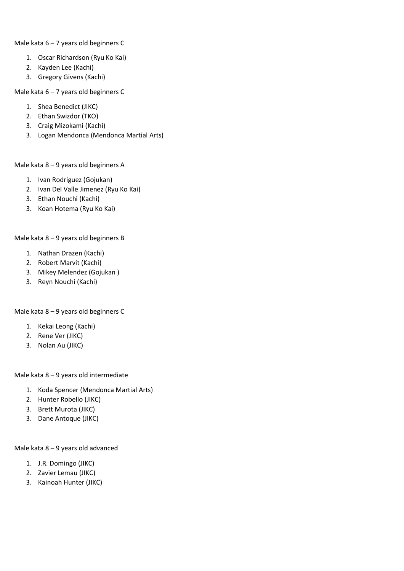Male kata 6 – 7 years old beginners C

- 1. Oscar Richardson (Ryu Ko Kai)
- 2. Kayden Lee (Kachi)
- 3. Gregory Givens (Kachi)

Male kata 6 – 7 years old beginners C

- 1. Shea Benedict (JIKC)
- 2. Ethan Swizdor (TKO)
- 3. Craig Mizokami (Kachi)
- 3. Logan Mendonca (Mendonca Martial Arts)

## Male kata 8 – 9 years old beginners A

- 1. Ivan Rodriguez (Gojukan)
- 2. Ivan Del Valle Jimenez (Ryu Ko Kai)
- 3. Ethan Nouchi (Kachi)
- 3. Koan Hotema (Ryu Ko Kai)

# Male kata 8 – 9 years old beginners B

- 1. Nathan Drazen (Kachi)
- 2. Robert Marvit (Kachi)
- 3. Mikey Melendez (Gojukan )
- 3. Reyn Nouchi (Kachi)

# Male kata 8 – 9 years old beginners C

- 1. Kekai Leong (Kachi)
- 2. Rene Ver (JIKC)
- 3. Nolan Au (JIKC)

# Male kata 8 – 9 years old intermediate

- 1. Koda Spencer (Mendonca Martial Arts)
- 2. Hunter Robello (JIKC)
- 3. Brett Murota (JIKC)
- 3. Dane Antoque (JIKC)

# Male kata 8 – 9 years old advanced

- 1. J.R. Domingo (JIKC)
- 2. Zavier Lemau (JIKC)
- 3. Kainoah Hunter (JIKC)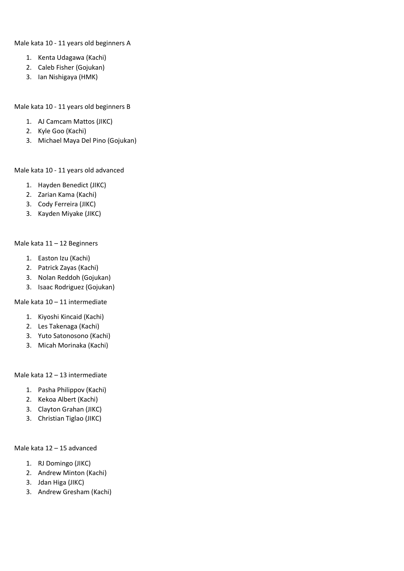Male kata 10 - 11 years old beginners A

- 1. Kenta Udagawa (Kachi)
- 2. Caleb Fisher (Gojukan)
- 3. Ian Nishigaya (HMK)

Male kata 10 - 11 years old beginners B

- 1. AJ Camcam Mattos (JIKC)
- 2. Kyle Goo (Kachi)
- 3. Michael Maya Del Pino (Gojukan)

### Male kata 10 - 11 years old advanced

- 1. Hayden Benedict (JIKC)
- 2. Zarian Kama (Kachi)
- 3. Cody Ferreira (JIKC)
- 3. Kayden Miyake (JIKC)

### Male kata 11 – 12 Beginners

- 1. Easton Izu (Kachi)
- 2. Patrick Zayas (Kachi)
- 3. Nolan Reddoh (Gojukan)
- 3. Isaac Rodriguez (Gojukan)

## Male kata 10 – 11 intermediate

- 1. Kiyoshi Kincaid (Kachi)
- 2. Les Takenaga (Kachi)
- 3. Yuto Satonosono (Kachi)
- 3. Micah Morinaka (Kachi)

### Male kata 12 – 13 intermediate

- 1. Pasha Philippov (Kachi)
- 2. Kekoa Albert (Kachi)
- 3. Clayton Grahan (JIKC)
- 3. Christian Tiglao (JIKC)

### Male kata 12 – 15 advanced

- 1. RJ Domingo (JIKC)
- 2. Andrew Minton (Kachi)
- 3. Jdan Higa (JIKC)
- 3. Andrew Gresham (Kachi)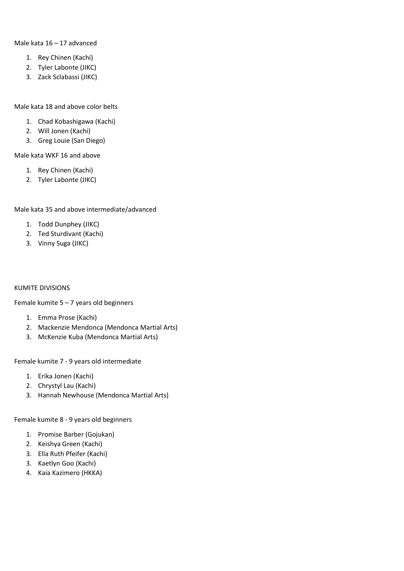### Male kata 16 – 17 advanced

- 1. Rey Chinen (Kachi)
- 2. Tyler Labonte (JIKC)
- 3. Zack Sclabassi (JIKC)

#### Male kata 18 and above color belts

- 1. Chad Kobashigawa (Kachi)
- 2. Will Jonen (Kachi)
- 3. Greg Louie (San Diego)

### Male kata WKF 16 and above

- 1. Rey Chinen (Kachi)
- 2. Tyler Labonte (JIKC)

## Male kata 35 and above intermediate/advanced

- 1. Todd Dunphey (JIKC)
- 2. Ted Sturdivant (Kachi)
- 3. Vinny Suga (JIKC)

### KUMITE DIVISIONS

Female kumite  $5 - 7$  years old beginners

- 1. Emma Prose (Kachi)
- 2. Mackenzie Mendonca (Mendonca Martial Arts)
- 3. McKenzie Kuba (Mendonca Martial Arts)

Female kumite 7 - 9 years old intermediate

- 1. Erika Jonen (Kachi)
- 2. Chrystyl Lau (Kachi)
- 3. Hannah Newhouse (Mendonca Martial Arts)

Female kumite 8 - 9 years old beginners

- 1. Promise Barber (Gojukan)
- 2. Keishya Green (Kachi)
- 3. Ella Ruth Pfeifer (Kachi)
- 3. Kaetlyn Goo (Kachi)
- 4. Kaia Kazimero (HKKA)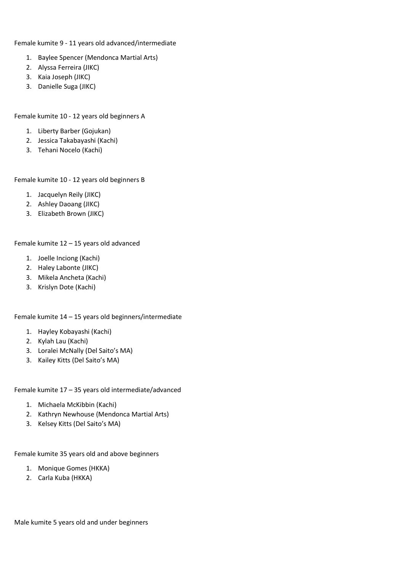Female kumite 9 - 11 years old advanced/intermediate

- 1. Baylee Spencer (Mendonca Martial Arts)
- 2. Alyssa Ferreira (JIKC)
- 3. Kaia Joseph (JIKC)
- 3. Danielle Suga (JIKC)

Female kumite 10 - 12 years old beginners A

- 1. Liberty Barber (Gojukan)
- 2. Jessica Takabayashi (Kachi)
- 3. Tehani Nocelo (Kachi)

Female kumite 10 - 12 years old beginners B

- 1. Jacquelyn Reily (JIKC)
- 2. Ashley Daoang (JIKC)
- 3. Elizabeth Brown (JIKC)

Female kumite 12 – 15 years old advanced

- 1. Joelle Inciong (Kachi)
- 2. Haley Labonte (JIKC)
- 3. Mikela Ancheta (Kachi)
- 3. Krislyn Dote (Kachi)

Female kumite 14 – 15 years old beginners/intermediate

- 1. Hayley Kobayashi (Kachi)
- 2. Kylah Lau (Kachi)
- 3. Loralei McNally (Del Saito's MA)
- 3. Kailey Kitts (Del Saito's MA)

Female kumite 17 – 35 years old intermediate/advanced

- 1. Michaela McKibbin (Kachi)
- 2. Kathryn Newhouse (Mendonca Martial Arts)
- 3. Kelsey Kitts (Del Saito's MA)

Female kumite 35 years old and above beginners

- 1. Monique Gomes (HKKA)
- 2. Carla Kuba (HKKA)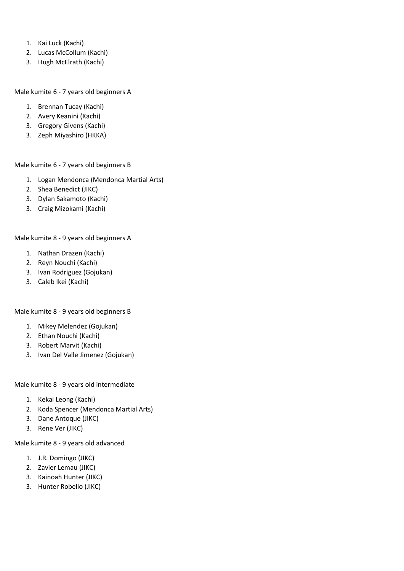- 1. Kai Luck (Kachi)
- 2. Lucas McCollum (Kachi)
- 3. Hugh McElrath (Kachi)

Male kumite 6 - 7 years old beginners A

- 1. Brennan Tucay (Kachi)
- 2. Avery Keanini (Kachi)
- 3. Gregory Givens (Kachi)
- 3. Zeph Miyashiro (HKKA)

Male kumite 6 - 7 years old beginners B

- 1. Logan Mendonca (Mendonca Martial Arts)
- 2. Shea Benedict (JIKC)
- 3. Dylan Sakamoto (Kachi)
- 3. Craig Mizokami (Kachi)

Male kumite 8 - 9 years old beginners A

- 1. Nathan Drazen (Kachi)
- 2. Reyn Nouchi (Kachi)
- 3. Ivan Rodriguez (Gojukan)
- 3. Caleb Ikei (Kachi)

Male kumite 8 - 9 years old beginners B

- 1. Mikey Melendez (Gojukan)
- 2. Ethan Nouchi (Kachi)
- 3. Robert Marvit (Kachi)
- 3. Ivan Del Valle Jimenez (Gojukan)

Male kumite 8 - 9 years old intermediate

- 1. Kekai Leong (Kachi)
- 2. Koda Spencer (Mendonca Martial Arts)
- 3. Dane Antoque (JIKC)
- 3. Rene Ver (JIKC)

Male kumite 8 - 9 years old advanced

- 1. J.R. Domingo (JIKC)
- 2. Zavier Lemau (JIKC)
- 3. Kainoah Hunter (JIKC)
- 3. Hunter Robello (JIKC)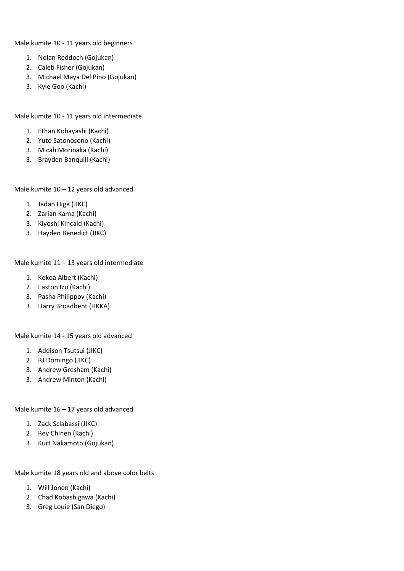Male kumite 10 - 11 years old beginners

- 1. Nolan Reddoch (Gojukan)
- 2. Caleb Fisher (Gojukan)
- 3. Michael Maya Del Pino (Gojukan)
- 3. Kyle Goo (Kachi)

Male kumite 10 - 11 years old intermediate

- 1. Ethan Kobayashi (Kachi)
- 2. Yuto Satonosono (Kachi)
- 3. Micah Morinaka (Kachi)
- 3. Brayden Banquill (Kachi)

Male kumite 10 – 12 years old advanced

- 1. Jadan Higa (JIKC)
- 2. Zarian Kama (Kachi)
- 3. Kiyoshi Kincaid (Kachi)
- 3. Hayden Benedict (JIKC)

Male kumite 11 – 13 years old intermediate

- 1. Kekoa Albert (Kachi)
- 2. Easton Izu (Kachi)
- 3. Pasha Philippov (Kachi)
- 3. Harry Broadbent (HKKA)

Male kumite 14 - 15 years old advanced

- 1. Addison Tsutsui (JIKC)
- 2. RJ Domingo (JIKC)
- 3. Andrew Gresham (Kachi)
- 3. Andrew Minton (Kachi)

Male kumite 16 – 17 years old advanced

- 1. Zack Sclabassi (JIKC)
- 2. Rey Chinen (Kachi)
- 3. Kurt Nakamoto (Gojukan)

Male kumite 18 years old and above color belts

- 1. Will Jonen (Kachi)
- 2. Chad Kobashigawa (Kachi)
- 3. Greg Louie (San Diego)